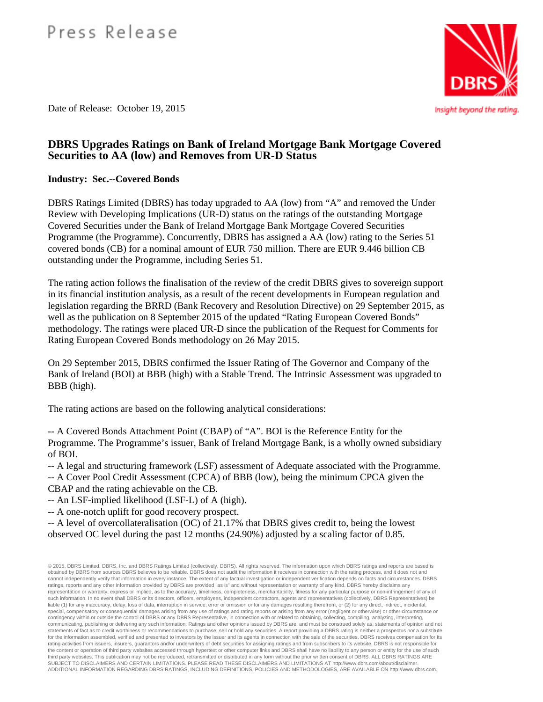# Press Release

Date of Release: October 19, 2015

## **DBRS Upgrades Ratings on Bank of Ireland Mortgage Bank Mortgage Covered Securities to AA (low) and Removes from UR-D Status**

## **Industry: Sec.--Covered Bonds**

DBRS Ratings Limited (DBRS) has today upgraded to AA (low) from "A" and removed the Under Review with Developing Implications (UR-D) status on the ratings of the outstanding Mortgage Covered Securities under the Bank of Ireland Mortgage Bank Mortgage Covered Securities Programme (the Programme). Concurrently, DBRS has assigned a AA (low) rating to the Series 51 covered bonds (CB) for a nominal amount of EUR 750 million. There are EUR 9.446 billion CB outstanding under the Programme, including Series 51.

The rating action follows the finalisation of the review of the credit DBRS gives to sovereign support in its financial institution analysis, as a result of the recent developments in European regulation and legislation regarding the BRRD (Bank Recovery and Resolution Directive) on 29 September 2015, as well as the publication on 8 September 2015 of the updated "Rating European Covered Bonds" methodology. The ratings were placed UR-D since the publication of the Request for Comments for Rating European Covered Bonds methodology on 26 May 2015.

On 29 September 2015, DBRS confirmed the Issuer Rating of The Governor and Company of the Bank of Ireland (BOI) at BBB (high) with a Stable Trend. The Intrinsic Assessment was upgraded to BBB (high).

The rating actions are based on the following analytical considerations:

-- A Covered Bonds Attachment Point (CBAP) of "A". BOI is the Reference Entity for the Programme. The Programme's issuer, Bank of Ireland Mortgage Bank, is a wholly owned subsidiary of BOI.

-- A legal and structuring framework (LSF) assessment of Adequate associated with the Programme.

-- A Cover Pool Credit Assessment (CPCA) of BBB (low), being the minimum CPCA given the CBAP and the rating achievable on the CB.

-- An LSF-implied likelihood (LSF-L) of A (high).

-- A one-notch uplift for good recovery prospect.

-- A level of overcollateralisation (OC) of 21.17% that DBRS gives credit to, being the lowest observed OC level during the past 12 months (24.90%) adjusted by a scaling factor of 0.85.

© 2015, DBRS Limited, DBRS, Inc. and DBRS Ratings Limited (collectively, DBRS). All rights reserved. The information upon which DBRS ratings and reports are based is obtained by DBRS from sources DBRS believes to be reliable. DBRS does not audit the information it receives in connection with the rating process, and it does not and cannot independently verify that information in every instance. The extent of any factual investigation or independent verification depends on facts and circumstances. DBRS ratings, reports and any other information provided by DBRS are provided "as is" and without representation or warranty of any kind. DBRS hereby disclaims any representation or warranty, express or implied, as to the accuracy, timeliness, completeness, merchantability, fitness for any particular purpose or non-infringement of any of such information. In no event shall DBRS or its directors, officers, employees, independent contractors, agents and representatives (collectively, DBRS Representatives) be liable (1) for any inaccuracy, delay, loss of data, interruption in service, error or omission or for any damages resulting therefrom, or (2) for any direct, indirect, incidental,<br>special, compensatory or consequential dam contingency within or outside the control of DBRS or any DBRS Representative, in connection with or related to obtaining, collecting, compiling, analyzing, interpreting, communicating, publishing or delivering any such information. Ratings and other opinions issued by DBRS are, and must be construed solely as, statements of opinion and not statements of fact as to credit worthiness or recommendations to purchase, sell or hold any securities. A report providing a DBRS rating is neither a prospectus nor a substitute for the information assembled, verified and presented to investors by the issuer and its agents in connection with the sale of the securities. DBRS receives compensation for its rating activities from issuers, insurers, guarantors and/or underwriters of debt securities for assigning ratings and from subscribers to its website. DBRS is not responsible for the content or operation of third party websites accessed through hypertext or other computer links and DBRS shall have no liability to any person or entity for the use of such third party websites. This publication may not be reproduced, retransmitted or distributed in any form without the prior written consent of DBRS. ALL DBRS RATINGS ARE<br>SUBJECT TO DISCLAIMERS AND CERTAIN LIMITATIONS. PLEASE ADDITIONAL INFORMATION REGARDING DBRS RATINGS, INCLUDING DEFINITIONS, POLICIES AND METHODOLOGIES, ARE AVAILABLE ON http://www.dbrs.com.



Insight beyond the rating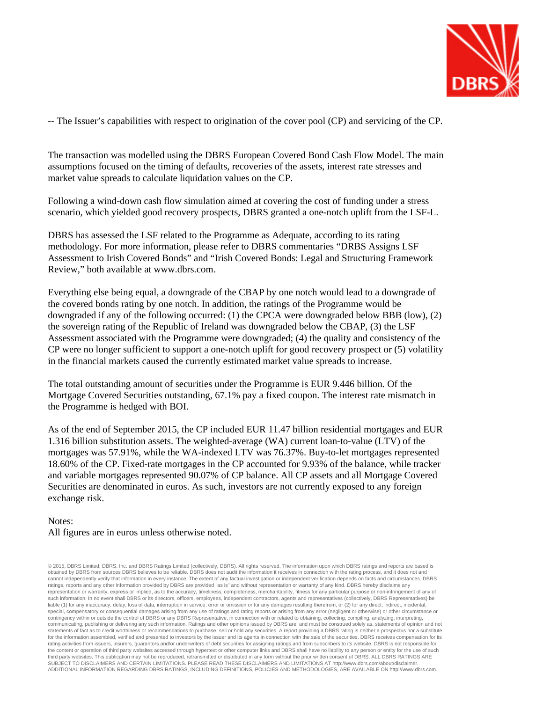

-- The Issuer's capabilities with respect to origination of the cover pool (CP) and servicing of the CP.

The transaction was modelled using the DBRS European Covered Bond Cash Flow Model. The main assumptions focused on the timing of defaults, recoveries of the assets, interest rate stresses and market value spreads to calculate liquidation values on the CP.

Following a wind-down cash flow simulation aimed at covering the cost of funding under a stress scenario, which yielded good recovery prospects, DBRS granted a one-notch uplift from the LSF-L.

DBRS has assessed the LSF related to the Programme as Adequate, according to its rating methodology. For more information, please refer to DBRS commentaries "DRBS Assigns LSF Assessment to Irish Covered Bonds" and "Irish Covered Bonds: Legal and Structuring Framework Review," both available at www.dbrs.com.

Everything else being equal, a downgrade of the CBAP by one notch would lead to a downgrade of the covered bonds rating by one notch. In addition, the ratings of the Programme would be downgraded if any of the following occurred: (1) the CPCA were downgraded below BBB (low), (2) the sovereign rating of the Republic of Ireland was downgraded below the CBAP, (3) the LSF Assessment associated with the Programme were downgraded; (4) the quality and consistency of the CP were no longer sufficient to support a one-notch uplift for good recovery prospect or (5) volatility in the financial markets caused the currently estimated market value spreads to increase.

The total outstanding amount of securities under the Programme is EUR 9.446 billion. Of the Mortgage Covered Securities outstanding, 67.1% pay a fixed coupon. The interest rate mismatch in the Programme is hedged with BOI.

As of the end of September 2015, the CP included EUR 11.47 billion residential mortgages and EUR 1.316 billion substitution assets. The weighted-average (WA) current loan-to-value (LTV) of the mortgages was 57.91%, while the WA-indexed LTV was 76.37%. Buy-to-let mortgages represented 18.60% of the CP. Fixed-rate mortgages in the CP accounted for 9.93% of the balance, while tracker and variable mortgages represented 90.07% of CP balance. All CP assets and all Mortgage Covered Securities are denominated in euros. As such, investors are not currently exposed to any foreign exchange risk.

### Notes:

### All figures are in euros unless otherwise noted.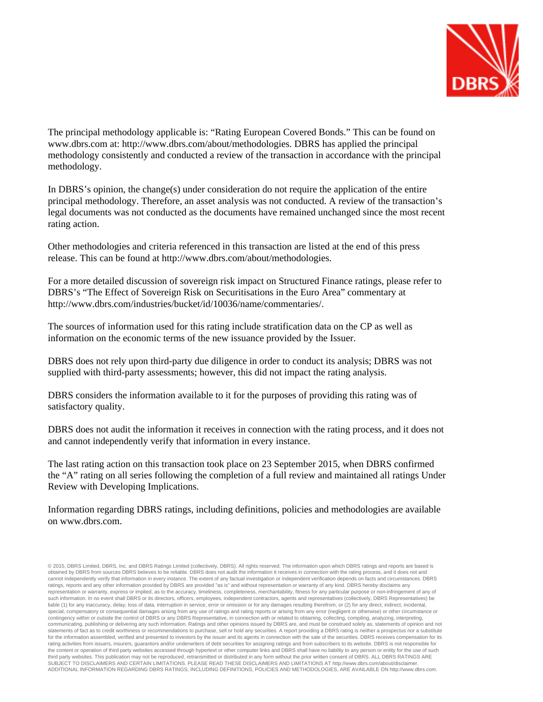

The principal methodology applicable is: "Rating European Covered Bonds." This can be found on www.dbrs.com at: http://www.dbrs.com/about/methodologies. DBRS has applied the principal methodology consistently and conducted a review of the transaction in accordance with the principal methodology.

In DBRS's opinion, the change(s) under consideration do not require the application of the entire principal methodology. Therefore, an asset analysis was not conducted. A review of the transaction's legal documents was not conducted as the documents have remained unchanged since the most recent rating action.

Other methodologies and criteria referenced in this transaction are listed at the end of this press release. This can be found at http://www.dbrs.com/about/methodologies.

For a more detailed discussion of sovereign risk impact on Structured Finance ratings, please refer to DBRS's "The Effect of Sovereign Risk on Securitisations in the Euro Area" commentary at http://www.dbrs.com/industries/bucket/id/10036/name/commentaries/.

The sources of information used for this rating include stratification data on the CP as well as information on the economic terms of the new issuance provided by the Issuer.

DBRS does not rely upon third-party due diligence in order to conduct its analysis; DBRS was not supplied with third-party assessments; however, this did not impact the rating analysis.

DBRS considers the information available to it for the purposes of providing this rating was of satisfactory quality.

DBRS does not audit the information it receives in connection with the rating process, and it does not and cannot independently verify that information in every instance.

The last rating action on this transaction took place on 23 September 2015, when DBRS confirmed the "A" rating on all series following the completion of a full review and maintained all ratings Under Review with Developing Implications.

Information regarding DBRS ratings, including definitions, policies and methodologies are available on www.dbrs.com.

<sup>© 2015,</sup> DBRS Limited, DBRS, Inc. and DBRS Ratings Limited (collectively, DBRS). All rights reserved. The information upon which DBRS ratings and reports are based is obtained by DBRS from sources DBRS believes to be reliable. DBRS does not audit the information it receives in connection with the rating process, and it does not and cannot independently verify that information in every instance. The extent of any factual investigation or independent verification depends on facts and circumstances. DBRS ratings, reports and any other information provided by DBRS are provided "as is" and without representation or warranty of any kind. DBRS hereby disclaims any representation or warranty, express or implied, as to the accuracy, timeliness, completeness, merchantability, fitness for any particular purpose or non-infringement of any of such information. In no event shall DBRS or its directors, officers, employees, independent contractors, agents and representatives (collectively, DBRS Representatives) be liable (1) for any inaccuracy, delay, loss of data, interruption in service, error or omission or for any damages resulting therefrom, or (2) for any direct, indirect, incidental,<br>special, compensatory or consequential dam contingency within or outside the control of DBRS or any DBRS Representative, in connection with or related to obtaining, collecting, compiling, analyzing, interpreting, communicating, publishing or delivering any such information. Ratings and other opinions issued by DBRS are, and must be construed solely as, statements of opinion and not statements of fact as to credit worthiness or recommendations to purchase, sell or hold any securities. A report providing a DBRS rating is neither a prospectus nor a substitute for the information assembled, verified and presented to investors by the issuer and its agents in connection with the sale of the securities. DBRS receives compensation for its rating activities from issuers, insurers, guarantors and/or underwriters of debt securities for assigning ratings and from subscribers to its website. DBRS is not responsible for the content or operation of third party websites accessed through hypertext or other computer links and DBRS shall have no liability to any person or entity for the use of such third party websites. This publication may not be reproduced, retransmitted or distributed in any form without the prior written consent of DBRS. ALL DBRS RATINGS ARE<br>SUBJECT TO DISCLAIMERS AND CERTAIN LIMITATIONS. PLEASE ADDITIONAL INFORMATION REGARDING DBRS RATINGS, INCLUDING DEFINITIONS, POLICIES AND METHODOLOGIES, ARE AVAILABLE ON http://www.dbrs.com.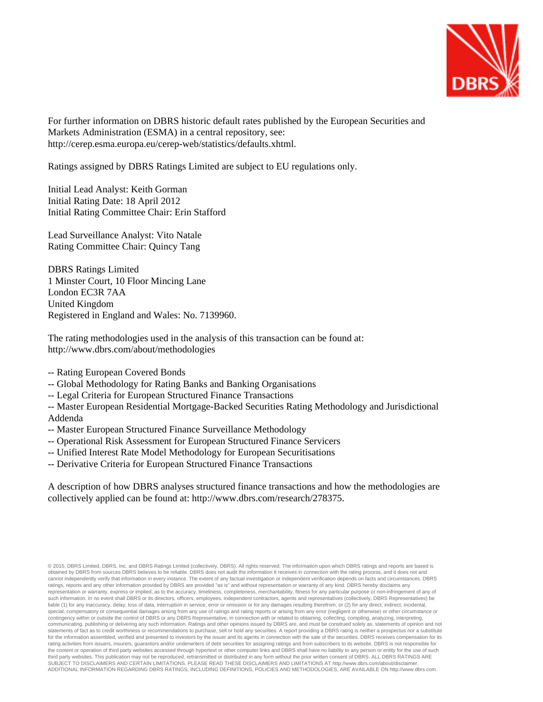

For further information on DBRS historic default rates published by the European Securities and Markets Administration (ESMA) in a central repository, see: http://cerep.esma.europa.eu/cerep-web/statistics/defaults.xhtml.

Ratings assigned by DBRS Ratings Limited are subject to EU regulations only.

Initial Lead Analyst: Keith Gorman Initial Rating Date: 18 April 2012 Initial Rating Committee Chair: Erin Stafford

Lead Surveillance Analyst: Vito Natale Rating Committee Chair: Quincy Tang

DBRS Ratings Limited 1 Minster Court, 10 Floor Mincing Lane London EC3R 7AA United Kingdom Registered in England and Wales: No. 7139960.

The rating methodologies used in the analysis of this transaction can be found at: http://www.dbrs.com/about/methodologies

- -- Rating European Covered Bonds
- -- Global Methodology for Rating Banks and Banking Organisations
- -- Legal Criteria for European Structured Finance Transactions

-- Master European Residential Mortgage-Backed Securities Rating Methodology and Jurisdictional Addenda

- -- Master European Structured Finance Surveillance Methodology
- -- Operational Risk Assessment for European Structured Finance Servicers
- -- Unified Interest Rate Model Methodology for European Securitisations
- -- Derivative Criteria for European Structured Finance Transactions

A description of how DBRS analyses structured finance transactions and how the methodologies are collectively applied can be found at: http://www.dbrs.com/research/278375.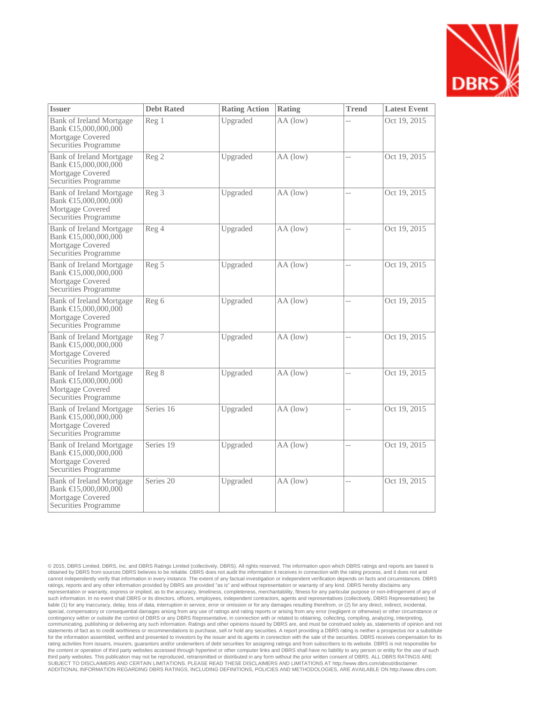

| <b>Issuer</b>                                                                                | <b>Debt Rated</b> | <b>Rating Action</b> | Rating     | <b>Trend</b>             | <b>Latest Event</b> |
|----------------------------------------------------------------------------------------------|-------------------|----------------------|------------|--------------------------|---------------------|
| Bank of Ireland Mortgage<br>Bank €15,000,000,000<br>Mortgage Covered<br>Securities Programme | Reg 1             | Upgraded             | AA (low)   |                          | Oct 19, 2015        |
| Bank of Ireland Mortgage<br>Bank €15,000,000,000<br>Mortgage Covered<br>Securities Programme | Reg <sub>2</sub>  | Upgraded             | AA (low)   | $\overline{\phantom{a}}$ | Oct 19, 2015        |
| Bank of Ireland Mortgage<br>Bank €15,000,000,000<br>Mortgage Covered<br>Securities Programme | Reg <sub>3</sub>  | Upgraded             | AA (low)   | $-$                      | Oct 19, 2015        |
| Bank of Ireland Mortgage<br>Bank €15,000,000,000<br>Mortgage Covered<br>Securities Programme | Reg 4             | Upgraded             | AA (low)   | $\overline{a}$           | Oct 19, 2015        |
| Bank of Ireland Mortgage<br>Bank €15,000,000,000<br>Mortgage Covered<br>Securities Programme | Reg <sub>5</sub>  | Upgraded             | AA (low)   | $\overline{a}$           | Oct 19, 2015        |
| Bank of Ireland Mortgage<br>Bank €15,000,000,000<br>Mortgage Covered<br>Securities Programme | Reg 6             | Upgraded             | AA (low)   | $-$                      | Oct 19, 2015        |
| Bank of Ireland Mortgage<br>Bank €15,000,000,000<br>Mortgage Covered<br>Securities Programme | Reg 7             | Upgraded             | $AA$ (low) | $\overline{a}$           | Oct 19, 2015        |
| Bank of Ireland Mortgage<br>Bank €15,000,000,000<br>Mortgage Covered<br>Securities Programme | Reg 8             | Upgraded             | AA (low)   | $-$                      | Oct 19, 2015        |
| Bank of Ireland Mortgage<br>Bank €15,000,000,000<br>Mortgage Covered<br>Securities Programme | Series 16         | Upgraded             | AA (low)   | $-$                      | Oct 19, 2015        |
| Bank of Ireland Mortgage<br>Bank €15,000,000,000<br>Mortgage Covered<br>Securities Programme | Series 19         | Upgraded             | AA (low)   | $-$                      | Oct 19, 2015        |
| Bank of Ireland Mortgage<br>Bank €15,000,000,000<br>Mortgage Covered<br>Securities Programme | Series 20         | Upgraded             | AA (low)   | $\overline{a}$           | Oct 19, 2015        |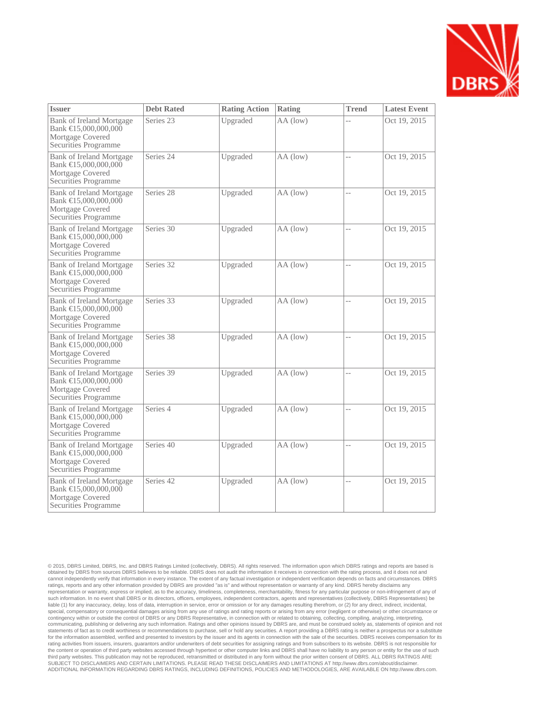

| <b>Issuer</b>                                                                                | <b>Debt Rated</b> | <b>Rating Action</b> | Rating     | <b>Trend</b>   | <b>Latest Event</b> |
|----------------------------------------------------------------------------------------------|-------------------|----------------------|------------|----------------|---------------------|
| Bank of Ireland Mortgage<br>Bank €15,000,000,000<br>Mortgage Covered<br>Securities Programme | Series 23         | Upgraded             | AA (low)   |                | Oct 19, 2015        |
| Bank of Ireland Mortgage<br>Bank €15,000,000,000<br>Mortgage Covered<br>Securities Programme | Series 24         | Upgraded             | $AA$ (low) | $\overline{a}$ | Oct 19, 2015        |
| Bank of Ireland Mortgage<br>Bank €15,000,000,000<br>Mortgage Covered<br>Securities Programme | Series 28         | Upgraded             | AA (low)   | $\overline{a}$ | Oct 19, 2015        |
| Bank of Ireland Mortgage<br>Bank €15,000,000,000<br>Mortgage Covered<br>Securities Programme | Series 30         | Upgraded             | AA (low)   | $-$            | Oct 19, 2015        |
| Bank of Ireland Mortgage<br>Bank €15,000,000,000<br>Mortgage Covered<br>Securities Programme | Series 32         | Upgraded             | AA (low)   | $\overline{a}$ | Oct 19, 2015        |
| Bank of Ireland Mortgage<br>Bank €15,000,000,000<br>Mortgage Covered<br>Securities Programme | Series 33         | Upgraded             | AA (low)   | $\overline{a}$ | Oct 19, 2015        |
| Bank of Ireland Mortgage<br>Bank €15,000,000,000<br>Mortgage Covered<br>Securities Programme | Series 38         | Upgraded             | AA (low)   | $\overline{a}$ | Oct 19, 2015        |
| Bank of Ireland Mortgage<br>Bank €15,000,000,000<br>Mortgage Covered<br>Securities Programme | Series 39         | Upgraded             | AA (low)   | $\overline{a}$ | Oct 19, 2015        |
| Bank of Ireland Mortgage<br>Bank €15,000,000,000<br>Mortgage Covered<br>Securities Programme | Series 4          | Upgraded             | AA (low)   | $-$            | Oct 19, 2015        |
| Bank of Ireland Mortgage<br>Bank €15,000,000,000<br>Mortgage Covered<br>Securities Programme | Series 40         | Upgraded             | AA (low)   | $\overline{a}$ | Oct 19, 2015        |
| Bank of Ireland Mortgage<br>Bank €15,000,000,000<br>Mortgage Covered<br>Securities Programme | Series 42         | Upgraded             | AA (low)   | $\overline{a}$ | Oct 19, 2015        |